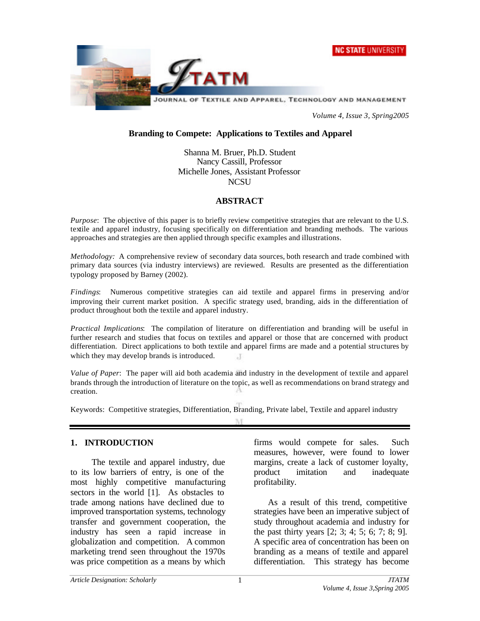



*Volume 4, Issue 3, Spring2005*

#### **Branding to Compete: Applications to Textiles and Apparel**

Shanna M. Bruer, Ph.D. Student Nancy Cassill, Professor Michelle Jones, Assistant Professor **NCSU** 

#### **ABSTRACT**

*Purpose*: The objective of this paper is to briefly review competitive strategies that are relevant to the U.S. textile and apparel industry, focusing specifically on differentiation and branding methods. The various approaches and strategies are then applied through specific examples and illustrations.

*Methodology:* A comprehensive review of secondary data sources, both research and trade combined with primary data sources (via industry interviews) are reviewed. Results are presented as the differentiation typology proposed by Barney (2002).

*Findings*: Numerous competitive strategies can aid textile and apparel firms in preserving and/or improving their current market position. A specific strategy used, branding, aids in the differentiation of product throughout both the textile and apparel industry.

*Practical Implications*: The compilation of literature on differentiation and branding will be useful in further research and studies that focus on textiles and apparel or those that are concerned with product differentiation. Direct applications to both textile and apparel firms are made and a potential structures by which they may develop brands is introduced.  $\cdot$ T

*Value of Paper*: The paper will aid both academia and industry in the development of textile and apparel brands through the introduction of literature on the topic, as well as recommendations on brand strategy and creation.

Keywords: Competitive strategies, Differentiation, Branding, Private label, Textile and apparel industry

TUT

#### **1. INTRODUCTION**

The textile and apparel industry, due to its low barriers of entry, is one of the most highly competitive manufacturing sectors in the world [1]. As obstacles to trade among nations have declined due to improved transportation systems, technology transfer and government cooperation, the industry has seen a rapid increase in globalization and competition. A common marketing trend seen throughout the 1970s was price competition as a means by which

firms would compete for sales. Such measures, however, were found to lower margins, create a lack of customer loyalty, product imitation and inadequate profitability.

As a result of this trend, competitive strategies have been an imperative subject of study throughout academia and industry for the past thirty years [2; 3; 4; 5; 6; 7; 8; 9]. A specific area of concentration has been on branding as a means of textile and apparel differentiation. This strategy has become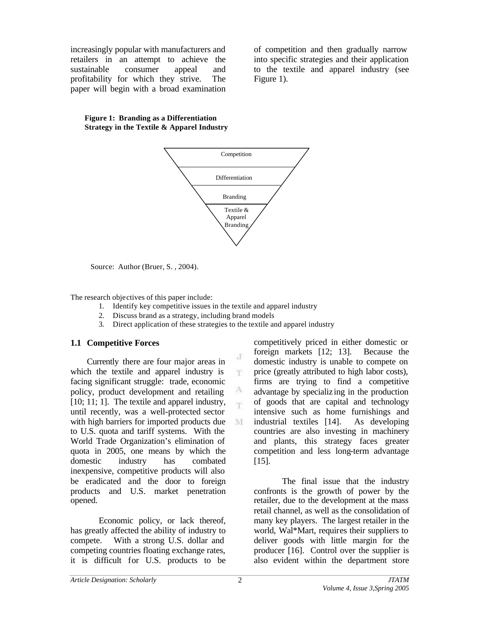increasingly popular with manufacturers and retailers in an attempt to achieve the sustainable consumer appeal and profitability for which they strive. The paper will begin with a broad examination of competition and then gradually narrow into specific strategies and their application to the textile and apparel industry (see Figure 1).

#### **Figure 1: Branding as a Differentiation Strategy in the Textile & Apparel Industry**



Source: Author (Bruer, S., 2004).

The research objectives of this paper include:

- 1. Identify key competitive issues in the textile and apparel industry
- 2. Discuss brand as a strategy, including brand models
- 3. Direct application of these strategies to the textile and apparel industry

J m.

A 'n

M

## **1.1 Competitive Forces**

Currently there are four major areas in which the textile and apparel industry is facing significant struggle: trade, economic policy, product development and retailing [10; 11; 1]. The textile and apparel industry, until recently, was a well-protected sector with high barriers for imported products due to U.S. quota and tariff systems. With the World Trade Organization's elimination of quota in 2005, one means by which the domestic industry has combated inexpensive, competitive products will also be eradicated and the door to foreign products and U.S. market penetration opened.

Economic policy, or lack thereof, has greatly affected the ability of industry to compete. With a strong U.S. dollar and competing countries floating exchange rates, it is difficult for U.S. products to be

competitively priced in either domestic or foreign markets [12; 13]. Because the domestic industry is unable to compete on price (greatly attributed to high labor costs), firms are trying to find a competitive advantage by specializ ing in the production of goods that are capital and technology intensive such as home furnishings and industrial textiles [14]. As developing countries are also investing in machinery and plants, this strategy faces greater competition and less long-term advantage [15].

The final issue that the industry confronts is the growth of power by the retailer, due to the development at the mass retail channel, as well as the consolidation of many key players. The largest retailer in the world, Wal\*Mart, requires their suppliers to deliver goods with little margin for the producer [16]. Control over the supplier is also evident within the department store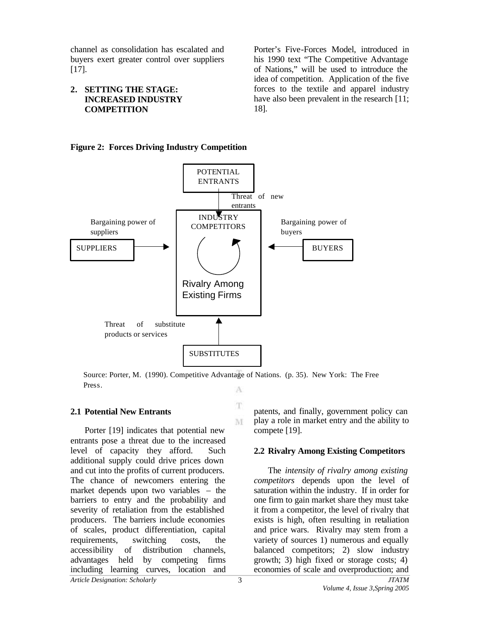channel as consolidation has escalated and buyers exert greater control over suppliers [17].

#### **2. SETTING THE STAGE: INCREASED INDUSTRY COMPETITION**

Porter's Five-Forces Model, introduced in his 1990 text "The Competitive Advantage of Nations," will be used to introduce the idea of competition. Application of the five forces to the textile and apparel industry have also been prevalent in the research [11; 18].

## **Figure 2: Forces Driving Industry Competition**



Source: Porter, M. (1990). Competitive Advantage of Nations. (p. 35). New York: The Free Press.A

T

M

## **2.1 Potential New Entrants**

*Article Designation: Scholarly JTATM* Porter [19] indicates that potential new entrants pose a threat due to the increased level of capacity they afford. Such additional supply could drive prices down and cut into the profits of current producers. The chance of newcomers entering the market depends upon two variables – the barriers to entry and the probability and severity of retaliation from the established producers. The barriers include economies of scales, product differentiation, capital requirements, switching costs, the accessibility of distribution channels, advantages held by competing firms including learning curves, location and

patents, and finally, government policy can play a role in market entry and the ability to compete [19].

## **2.2 Rivalry Among Existing Competitors**

The *intensity of rivalry among existing competitors* depends upon the level of saturation within the industry. If in order for one firm to gain market share they must take it from a competitor, the level of rivalry that exists is high, often resulting in retaliation and price wars. Rivalry may stem from a variety of sources 1) numerous and equally balanced competitors; 2) slow industry growth; 3) high fixed or storage costs; 4) economies of scale and overproduction; and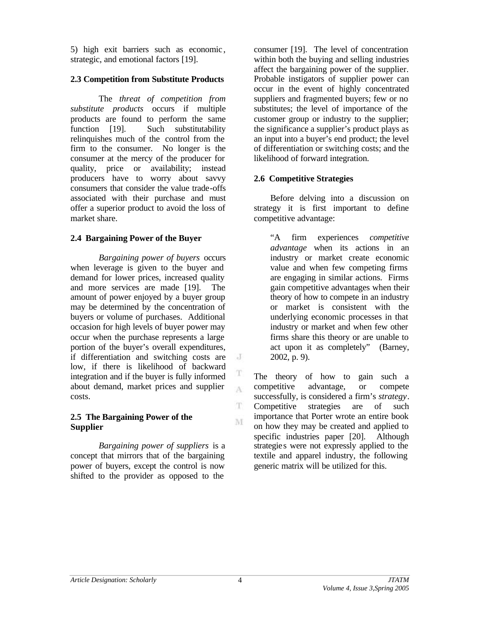5) high exit barriers such as economic , strategic, and emotional factors [19].

# **2.3 Competition from Substitute Products**

The *threat of competition from substitute products* occurs if multiple products are found to perform the same function [19]. Such substitutability relinquishes much of the control from the firm to the consumer. No longer is the consumer at the mercy of the producer for quality, price or availability; instead producers have to worry about savvy consumers that consider the value trade-offs associated with their purchase and must offer a superior product to avoid the loss of market share.

## **2.4 Bargaining Power of the Buyer**

*Bargaining power of buyers* occurs when leverage is given to the buyer and demand for lower prices, increased quality and more services are made [19]. The amount of power enjoyed by a buyer group may be determined by the concentration of buyers or volume of purchases. Additional occasion for high levels of buyer power may occur when the purchase represents a large portion of the buyer's overall expenditures, if differentiation and switching costs are low, if there is likelihood of backward integration and if the buyer is fully informed about demand, market prices and supplier costs.

## **2.5 The Bargaining Power of the Supplier**

*Bargaining power of suppliers* is a concept that mirrors that of the bargaining power of buyers, except the control is now shifted to the provider as opposed to the

consumer [19]. The level of concentration within both the buying and selling industries affect the bargaining power of the supplier. Probable instigators of supplier power can occur in the event of highly concentrated suppliers and fragmented buyers; few or no substitutes; the level of importance of the customer group or industry to the supplier; the significance a supplier's product plays as an input into a buyer's end product; the level of differentiation or switching costs; and the likelihood of forward integration.

# **2.6 Competitive Strategies**

Before delving into a discussion on strategy it is first important to define competitive advantage:

"A firm experiences *competitive advantage* when its actions in an industry or market create economic value and when few competing firms are engaging in similar actions. Firms gain competitive advantages when their theory of how to compete in an industry or market is consistent with the underlying economic processes in that industry or market and when few other firms share this theory or are unable to act upon it as completely" (Barney, 2002, p. 9).

The theory of how to gain such a competitive advantage, or compete successfully, is considered a firm's *strategy*. Competitive strategies are of such importance that Porter wrote an entire book on how they may be created and applied to specific industries paper [20]. Although strategie s were not expressly applied to the textile and apparel industry, the following generic matrix will be utilized for this.

 $\mathbf{J}$ 

T A

T

M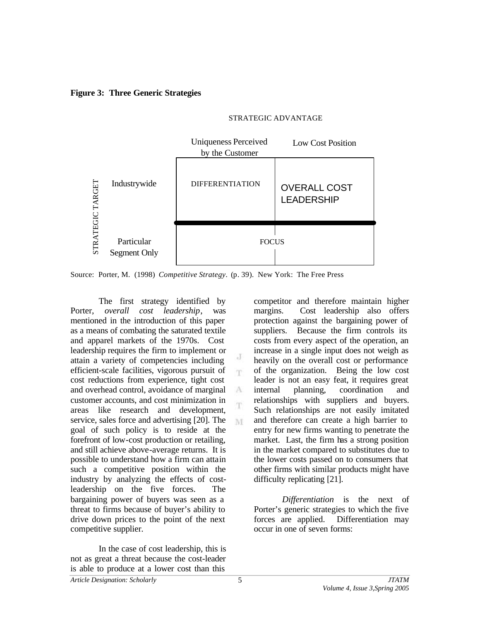#### **Figure 3: Three Generic Strategies**

# STRATEGIC ADVANTAGE



J m

A

M

Source: Porter, M. (1998) *Competitive Strategy*. (p. 39). New York: The Free Press

The first strategy identified by Porter, *overall cost leadership*, was mentioned in the introduction of this paper as a means of combating the saturated textile and apparel markets of the 1970s. Cost leadership requires the firm to implement or attain a variety of competencies including efficient-scale facilities, vigorous pursuit of cost reductions from experience, tight cost and overhead control, avoidance of marginal customer accounts, and cost minimization in areas like research and development, service, sales force and advertising [20]. The goal of such policy is to reside at the forefront of low-cost production or retailing, and still achieve above-average returns. It is possible to understand how a firm can attain such a competitive position within the industry by analyzing the effects of costleadership on the five forces. The bargaining power of buyers was seen as a threat to firms because of buyer's ability to drive down prices to the point of the next competitive supplier.

In the case of cost leadership, this is not as great a threat because the cost-leader is able to produce at a lower cost than this

competitor and therefore maintain higher margins. Cost leadership also offers protection against the bargaining power of suppliers. Because the firm controls its costs from every aspect of the operation, an increase in a single input does not weigh as heavily on the overall cost or performance of the organization. Being the low cost leader is not an easy feat, it requires great internal planning, coordination and relationships with suppliers and buyers. Such relationships are not easily imitated and therefore can create a high barrier to entry for new firms wanting to penetrate the market. Last, the firm has a strong position in the market compared to substitutes due to the lower costs passed on to consumers that other firms with similar products might have difficulty replicating [21].

*Differentiation* is the next of Porter's generic strategies to which the five forces are applied. Differentiation may occur in one of seven forms: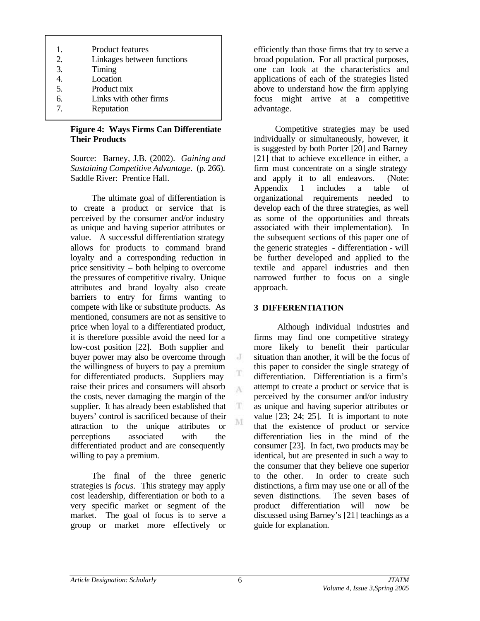- 1. Product features
- 2. Linkages between functions
- 3. Timing
- 4. Location
- 5. Product mix
- 6. Links with other firms
- 7. Reputation

## **Figure 4: Ways Firms Can Differentiate Their Products**

Source: Barney, J.B. (2002). *Gaining and Sustaining Competitive Advantage*. (p. 266). Saddle River: Prentice Hall.

The ultimate goal of differentiation is to create a product or service that is perceived by the consumer and/or industry as unique and having superior attributes or value. A successful differentiation strategy allows for products to command brand loyalty and a corresponding reduction in price sensitivity – both helping to overcome the pressures of competitive rivalry. Unique attributes and brand loyalty also create barriers to entry for firms wanting to compete with like or substitute products. As mentioned, consumers are not as sensitive to price when loyal to a differentiated product, it is therefore possible avoid the need for a low-cost position [22]. Both supplier and buyer power may also be overcome through the willingness of buyers to pay a premium for differentiated products. Suppliers may raise their prices and consumers will absorb the costs, never damaging the margin of the supplier. It has already been established that buyers' control is sacrificed because of their attraction to the unique attributes or perceptions associated with the differentiated product and are consequently willing to pay a premium.

The final of the three generic strategies is *focus*. This strategy may apply cost leadership, differentiation or both to a very specific market or segment of the market. The goal of focus is to serve a group or market more effectively or efficiently than those firms that try to serve a broad population. For all practical purposes, one can look at the characteristics and applications of each of the strategies listed above to understand how the firm applying focus might arrive at a competitive advantage.

Competitive strategies may be used individually or simultaneously, however, it is suggested by both Porter [20] and Barney [21] that to achieve excellence in either, a firm must concentrate on a single strategy and apply it to all endeavors. (Note: Appendix 1 includes a table of organizational requirements needed to develop each of the three strategies, as well as some of the opportunities and threats associated with their implementation). In the subsequent sections of this paper one of the generic strategies - differentiation - will be further developed and applied to the textile and apparel industries and then narrowed further to focus on a single approach.

# **3 DIFFERENTIATION**

 Although individual industries and firms may find one competitive strategy more likely to benefit their particular situation than another, it will be the focus of this paper to consider the single strategy of differentiation. Differentiation is a firm's attempt to create a product or service that is perceived by the consumer and/or industry as unique and having superior attributes or value [23; 24; 25]. It is important to note that the existence of product or service differentiation lies in the mind of the consumer [23]. In fact, two products may be identical, but are presented in such a way to the consumer that they believe one superior to the other. In order to create such distinctions, a firm may use one or all of the seven distinctions. The seven bases of product differentiation will now be discussed using Barney's [21] teachings as a guide for explanation.

J

T A

T. M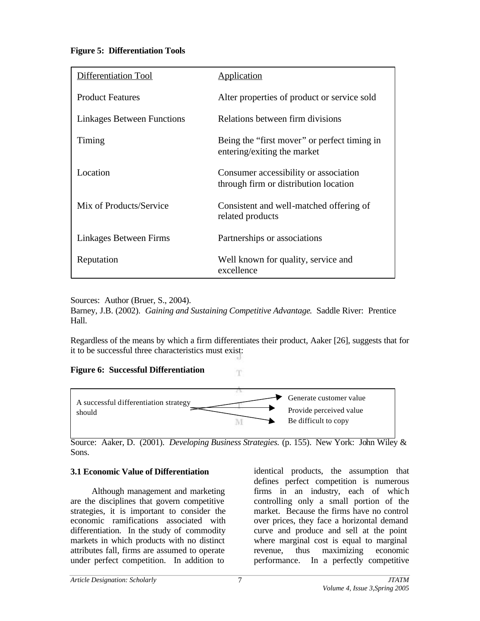# **Figure 5: Differentiation Tools**

| Differentiation Tool              | <b>Application</b>                           |
|-----------------------------------|----------------------------------------------|
|                                   |                                              |
| <b>Product Features</b>           | Alter properties of product or service sold  |
|                                   |                                              |
| <b>Linkages Between Functions</b> | Relations between firm divisions             |
|                                   |                                              |
| Timing                            | Being the "first mover" or perfect timing in |
|                                   | entering/exiting the market                  |
|                                   |                                              |
| Location                          | Consumer accessibility or association        |
|                                   | through firm or distribution location        |
| Mix of Products/Service           | Consistent and well-matched offering of      |
|                                   | related products                             |
|                                   |                                              |
| Linkages Between Firms            | Partnerships or associations                 |
|                                   |                                              |
| Reputation                        | Well known for quality, service and          |
|                                   | excellence                                   |
|                                   |                                              |

Sources: Author (Bruer, S., 2004).

Barney, J.B. (2002). *Gaining and Sustaining Competitive Advantage*. Saddle River: Prentice Hall.

Regardless of the means by which a firm differentiates their product, Aaker [26], suggests that for it to be successful three characteristics must exist:

T.

**Figure 6: Successful Differentiation**



Source: Aaker, D. (2001). *Developing Business Strategies.* (p. 155). New York: John Wiley & Sons.

# **3.1 Economic Value of Differentiation**

Although management and marketing are the disciplines that govern competitive strategies, it is important to consider the economic ramifications associated with differentiation. In the study of commodity markets in which products with no distinct attributes fall, firms are assumed to operate under perfect competition. In addition to

identical products, the assumption that defines perfect competition is numerous firms in an industry, each of which controlling only a small portion of the market. Because the firms have no control over prices, they face a horizontal demand curve and produce and sell at the point where marginal cost is equal to marginal revenue, thus maximizing economic performance. In a perfectly competitive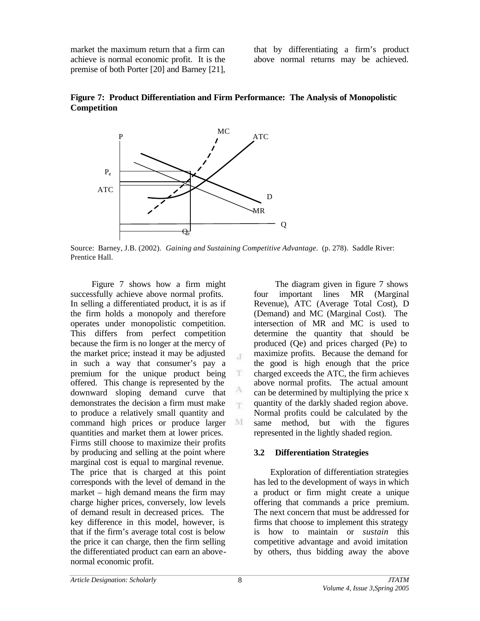market the maximum return that a firm can achieve is normal economic profit. It is the premise of both Porter [20] and Barney [21], that by differentiating a firm's product above normal returns may be achieved.



**Figure 7: Product Differentiation and Firm Performance: The Analysis of Monopolistic Competition**

Source: Barney, J.B. (2002). *Gaining and Sustaining Competitive Advantage*. (p. 278). Saddle River: Prentice Hall.

 $\mathcal{X}$ 

T

A 'n

M

Figure 7 shows how a firm might successfully achieve above normal profits. In selling a differentiated product, it is as if the firm holds a monopoly and therefore operates under monopolistic competition. This differs from perfect competition because the firm is no longer at the mercy of the market price; instead it may be adjusted in such a way that consumer's pay a premium for the unique product being offered. This change is represented by the downward sloping demand curve that demonstrates the decision a firm must make to produce a relatively small quantity and command high prices or produce larger quantities and market them at lower prices. Firms still choose to maximize their profits by producing and selling at the point where marginal cost is equal to marginal revenue. The price that is charged at this point corresponds with the level of demand in the market – high demand means the firm may charge higher prices, conversely, low levels of demand result in decreased prices. The key difference in this model, however, is that if the firm's average total cost is below the price it can charge, then the firm selling the differentiated product can earn an abovenormal economic profit.

The diagram given in figure 7 shows four important lines MR (Marginal Revenue), ATC (Average Total Cost), D (Demand) and MC (Marginal Cost). The intersection of MR and MC is used to determine the quantity that should be produced (Qe) and prices charged (Pe) to maximize profits. Because the demand for the good is high enough that the price charged exceeds the ATC, the firm achieves above normal profits. The actual amount can be determined by multiplying the price x quantity of the darkly shaded region above. Normal profits could be calculated by the same method, but with the figures represented in the lightly shaded region.

#### **3.2 Differentiation Strategies**

Exploration of differentiation strategies has led to the development of ways in which a product or firm might create a unique offering that commands a price premium. The next concern that must be addressed for firms that choose to implement this strategy is how to maintain or *sustain* this competitive advantage and avoid imitation by others, thus bidding away the above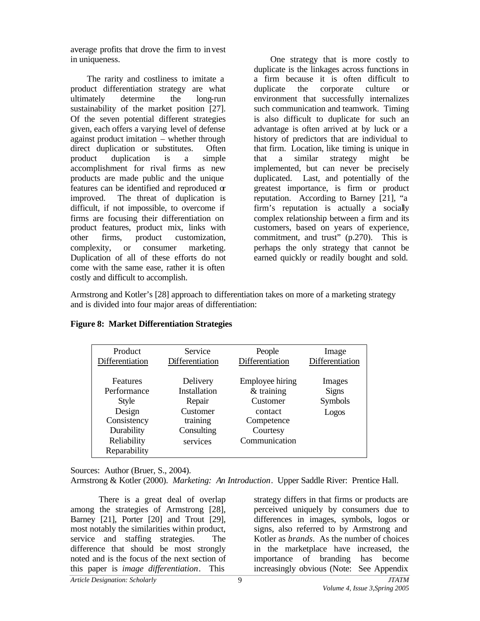average profits that drove the firm to invest in uniqueness.

The rarity and costliness to imitate a product differentiation strategy are what ultimately determine the long-run sustainability of the market position [27]. Of the seven potential different strategies given, each offers a varying level of defense against product imitation – whether through direct duplication or substitutes. Often product duplication is a simple accomplishment for rival firms as new products are made public and the unique features can be identified and reproduced or improved. The threat of duplication is difficult, if not impossible, to overcome if firms are focusing their differentiation on product features, product mix, links with other firms, product customization, complexity, or consumer marketing. Duplication of all of these efforts do not come with the same ease, rather it is often costly and difficult to accomplish.

One strategy that is more costly to duplicate is the linkages across functions in a firm because it is often difficult to duplicate the corporate culture or environment that successfully internalizes such communication and teamwork. Timing is also difficult to duplicate for such an advantage is often arrived at by luck or a history of predictors that are individual to that firm. Location, like timing is unique in that a similar strategy might be implemented, but can never be precisely duplicated. Last, and potentially of the greatest importance, is firm or product reputation. According to Barney [21], "a firm's reputation is actually a socially complex relationship between a firm and its customers, based on years of experience, commitment, and trust" (p.270). This is perhaps the only strategy that cannot be earned quickly or readily bought and sold.

Armstrong and Kotler's [28] approach to differentiation takes on more of a marketing strategy and is divided into four major areas of differentiation:

| Product         | Service         | People          | Image           |
|-----------------|-----------------|-----------------|-----------------|
| Differentiation | Differentiation | Differentiation | Differentiation |
|                 |                 |                 |                 |
| Features        | Delivery        | Employee hiring | Images          |
| Performance     | Installation    | $&$ training    | <b>Signs</b>    |
| <b>Style</b>    | Repair          | Customer        | Symbols         |
| Design          | Customer        | contact         | Logos           |
| Consistency     | training        | Competence      |                 |
| Durability      | Consulting      | Courtesy        |                 |
| Reliability     | services        | Communication   |                 |
| Reparability    |                 |                 |                 |

## **Figure 8: Market Differentiation Strategies**

Sources: Author (Bruer, S., 2004).

Armstrong & Kotler (2000). *Marketing: An Introduction*. Upper Saddle River: Prentice Hall.

*Article Designation: Scholarly JTATM* There is a great deal of overlap among the strategies of Armstrong [28], Barney [21], Porter [20] and Trout [29], most notably the similarities within product, service and staffing strategies. The difference that should be most strongly noted and is the focus of the next section of this paper is *image differentiation*. This

strategy differs in that firms or products are perceived uniquely by consumers due to differences in images, symbols, logos or signs, also referred to by Armstrong and Kotler as *brands*. As the number of choices in the marketplace have increased, the importance of branding has become increasingly obvious (Note: See Appendix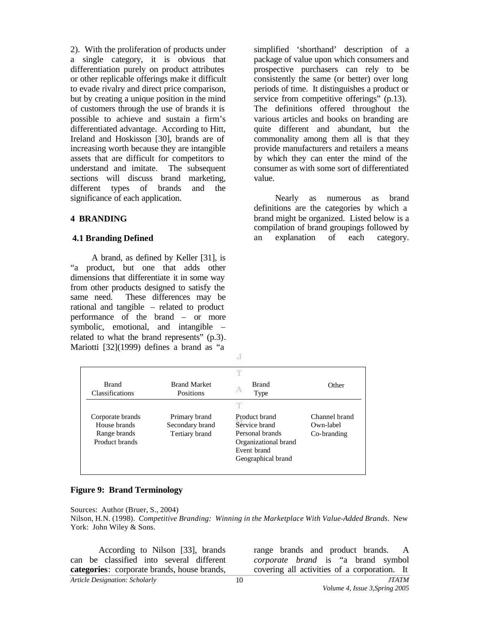2). With the proliferation of products under a single category, it is obvious that differentiation purely on product attributes or other replicable offerings make it difficult to evade rivalry and direct price comparison, but by creating a unique position in the mind of customers through the use of brands it is possible to achieve and sustain a firm's differentiated advantage. According to Hitt, Ireland and Hoskisson [30], brands are of increasing worth because they are intangible assets that are difficult for competitors to understand and imitate. The subsequent sections will discuss brand marketing, different types of brands and the significance of each application.

#### **4 BRANDING**

#### **4.1 Branding Defined**

A brand, as defined by Keller [31], is "a product, but one that adds other dimensions that differentiate it in some way from other products designed to satisfy the same need. These differences may be rational and tangible – related to product performance of the brand – or more symbolic, emotional, and intangible – related to what the brand represents" (p.3). Mariotti [32](1999) defines a brand as "a

simplified 'shorthand' description of a package of value upon which consumers and prospective purchasers can rely to be consistently the same (or better) over long periods of time. It distinguishes a product or service from competitive offerings" (p.13). The definitions offered throughout the various articles and books on branding are quite different and abundant, but the commonality among them all is that they provide manufacturers and retailers a means by which they can enter the mind of the consumer as with some sort of differentiated value.

Nearly as numerous as brand definitions are the categories by which a brand might be organized. Listed below is a compilation of brand groupings followed by an explanation of each category.

| <b>Brand</b><br>Classifications | <b>Brand Market</b><br>Positions | <b>Brand</b><br>Type | Other         |
|---------------------------------|----------------------------------|----------------------|---------------|
| Corporate brands                | Primary brand                    | Product brand        | Channel brand |
| House brands                    | Secondary brand                  | Service brand        | Own-label     |
| Range brands                    | Tertiary brand                   | Personal brands      | Co-branding   |
| Product brands                  |                                  | Organizational brand |               |
|                                 |                                  | Event brand          |               |
|                                 |                                  | Geographical brand   |               |

J

#### **Figure 9: Brand Terminology**

Sources: Author (Bruer, S., 2004)

Nilson, H.N. (1998). *Competitive Branding: Winning in the Marketplace With Value-Added Brands.* New York: John Wiley & Sons.

According to Nilson [33], brands can be classified into several different **categories**: corporate brands, house brands,

range brands and product brands. A *corporate brand* is "a brand symbol covering all activities of a corporation. It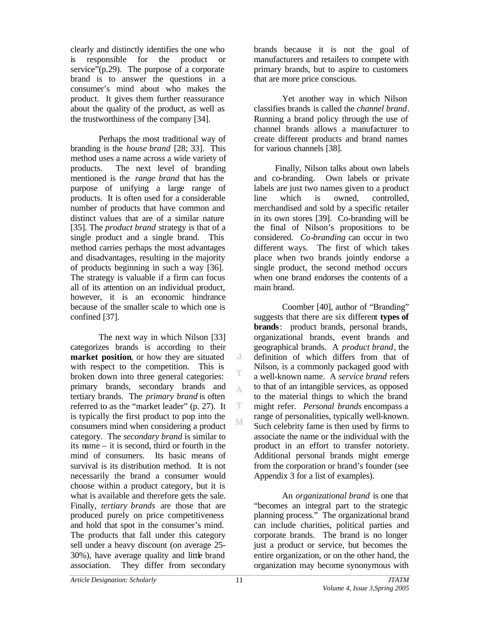clearly and distinctly identifies the one who is responsible for the product or service"(p.29). The purpose of a corporate brand is to answer the questions in a consumer's mind about who makes the product. It gives them further reassurance about the quality of the product, as well as the trustworthiness of the company [34].

Perhaps the most traditional way of branding is the *house brand* [28; 33]. This method uses a name across a wide variety of products. The next level of branding mentioned is the *range brand* that has the purpose of unifying a large range of products. It is often used for a considerable number of products that have common and distinct values that are of a similar nature [35]. The *product brand* strategy is that of a single product and a single brand. This method carries perhaps the most advantages and disadvantages, resulting in the majority of products beginning in such a way [36]. The strategy is valuable if a firm can focus all of its attention on an individual product, however, it is an economic hindrance because of the smaller scale to which one is confined [37].

The next way in which Nilson [33] categorizes brands is according to their **market position**, or how they are situated with respect to the competition. This is broken down into three general categories: primary brands, secondary brands and tertiary brands. The *primary brand* is often referred to as the "market leader" (p. 27). It is typically the first product to pop into the consumers mind when considering a product category. The *secondary brand* is similar to its name – it is second, third or fourth in the mind of consumers. Its basic means of survival is its distribution method. It is not necessarily the brand a consumer would choose within a product category, but it is what is available and therefore gets the sale. Finally, *tertiary brands* are those that are produced purely on price competitiveness and hold that spot in the consumer's mind. The products that fall under this category sell under a heavy discount (on average 25- 30%), have average quality and little brand association. They differ from secondary

brands because it is not the goal of manufacturers and retailers to compete with primary brands, but to aspire to customers that are more price conscious.

Yet another way in which Nilson classifies brands is called the *channel brand*. Running a brand policy through the use of channel brands allows a manufacturer to create different products and brand names for various channels [38].

 Finally, Nilson talks about own labels and co-branding. Own labels or private labels are just two names given to a product line which is owned, controlled, merchandised and sold by a specific retailer in its own stores [39]. Co-branding will be the final of Nilson's propositions to be considered. *Co-branding* can occur in two different ways. The first of which takes place when two brands jointly endorse a single product, the second method occurs when one brand endorses the contents of a main brand.

Coomber [40], author of "Branding" suggests that there are six different **types of brands**: product brands, personal brands, organizational brands, event brands and geographical brands. A *product brand*, the definition of which differs from that of Nilson, is a commonly packaged good with a well-known name. A *service brand* refers to that of an intangible services, as opposed to the material things to which the brand might refer. *Personal brands* encompass a range of personalities, typically well-known. Such celebrity fame is then used by firms to associate the name or the individual with the product in an effort to transfer notoriety. Additional personal brands might emerge from the corporation or brand's founder (see Appendix 3 for a list of examples).

An *organizational brand* is one that "becomes an integral part to the strategic planning process." The organizational brand can include charities, political parties and corporate brands. The brand is no longer just a product or service, but becomes the entire organization, or on the other hand, the organization may become synonymous with

J

T A

T M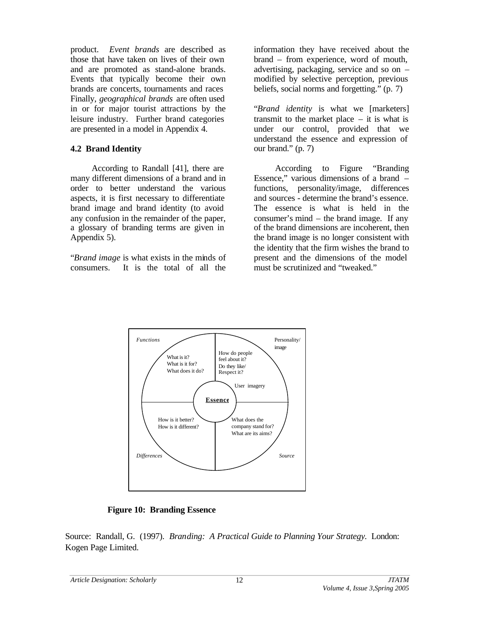product. *Event brands* are described as those that have taken on lives of their own and are promoted as stand-alone brands. Events that typically become their own brands are concerts, tournaments and races Finally, *geographical brands* are often used in or for major tourist attractions by the leisure industry. Further brand categories are presented in a model in Appendix 4.

## **4.2 Brand Identity**

According to Randall [41], there are many different dimensions of a brand and in order to better understand the various aspects, it is first necessary to differentiate brand image and brand identity (to avoid any confusion in the remainder of the paper, a glossary of branding terms are given in Appendix 5).

"*Brand image* is what exists in the minds of consumers. It is the total of all the

information they have received about the brand – from experience, word of mouth, advertising, packaging, service and so on – modified by selective perception, previous beliefs, social norms and forgetting." (p. 7)

"*Brand identity* is what we [marketers] transmit to the market place – it is what is under our control, provided that we understand the essence and expression of our brand." (p. 7)

According to Figure "Branding Essence," various dimensions of a brand – functions, personality/image, differences and sources - determine the brand's essence. The essence is what is held in the consumer's mind – the brand image. If any of the brand dimensions are incoherent, then the brand image is no longer consistent with the identity that the firm wishes the brand to present and the dimensions of the model must be scrutinized and "tweaked."



**Figure 10: Branding Essence**

Source: Randall, G. (1997). *Branding: A Practical Guide to Planning Your Strategy.* London: Kogen Page Limited.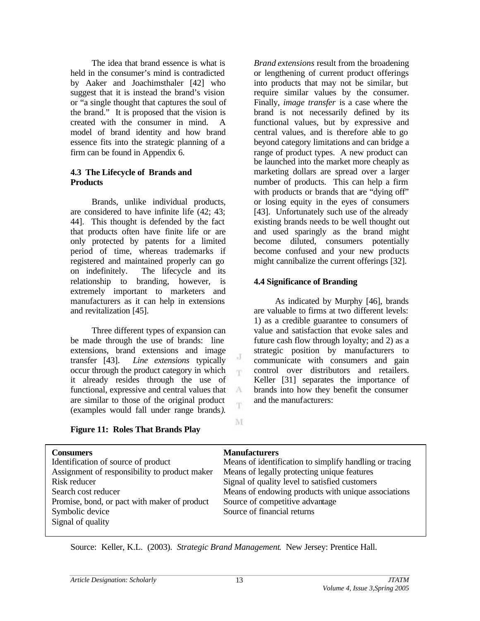The idea that brand essence is what is held in the consumer's mind is contradicted by Aaker and Joachimsthaler [42] who suggest that it is instead the brand's vision or "a single thought that captures the soul of the brand." It is proposed that the vision is created with the consumer in mind. A model of brand identity and how brand essence fits into the strategic planning of a firm can be found in Appendix 6.

#### **4.3 The Lifecycle of Brands and Products**

Brands, unlike individual products, are considered to have infinite life (42; 43; 44]. This thought is defended by the fact that products often have finite life or are only protected by patents for a limited period of time, whereas trademarks if registered and maintained properly can go on indefinitely. The lifecycle and its relationship to branding, however, is extremely important to marketers and manufacturers as it can help in extensions and revitalization [45].

Three different types of expansion can be made through the use of brands: line extensions, brand extensions and image transfer [43]. *Line extensions* typically occur through the product category in which it already resides through the use of functional, expressive and central values that are similar to those of the original product (examples would fall under range brands*).* 

*Brand extensions* result from the broadening or lengthening of current product offerings into products that may not be similar, but require similar values by the consumer. Finally, *image transfer* is a case where the brand is not necessarily defined by its functional values, but by expressive and central values, and is therefore able to go beyond category limitations and can bridge a range of product types. A new product can be launched into the market more cheaply as marketing dollars are spread over a larger number of products. This can help a firm with products or brands that are "dying off" or losing equity in the eyes of consumers [43]. Unfortunately such use of the already existing brands needs to be well thought out and used sparingly as the brand might become diluted, consumers potentially become confused and your new products might cannibalize the current offerings [32].

## **4.4 Significance of Branding**

As indicated by Murphy [46], brands are valuable to firms at two different levels: 1) as a credible guarantee to consumers of value and satisfaction that evoke sales and future cash flow through loyalty; and 2) as a strategic position by manufacturers to communicate with consumers and gain control over distributors and retailers. Keller [31] separates the importance of brands into how they benefit the consumer and the manufacturers:

| <b>Figure 11: Roles That Brands Play</b> |  |  |  |  |
|------------------------------------------|--|--|--|--|
|------------------------------------------|--|--|--|--|

| <b>Consumers</b>                              | <b>Manufacturers</b>                                    |
|-----------------------------------------------|---------------------------------------------------------|
| Identification of source of product           | Means of identification to simplify handling or tracing |
| Assignment of responsibility to product maker | Means of legally protecting unique features             |
| Risk reducer                                  | Signal of quality level to satisfied customers          |
| Search cost reducer                           | Means of endowing products with unique associations     |
| Promise, bond, or pact with maker of product  | Source of competitive advantage                         |
| Symbolic device                               | Source of financial returns                             |
| Signal of quality                             |                                                         |
|                                               |                                                         |

J m

 $A$ 

M

Source: Keller, K.L. (2003). *Strategic Brand Management*. New Jersey: Prentice Hall.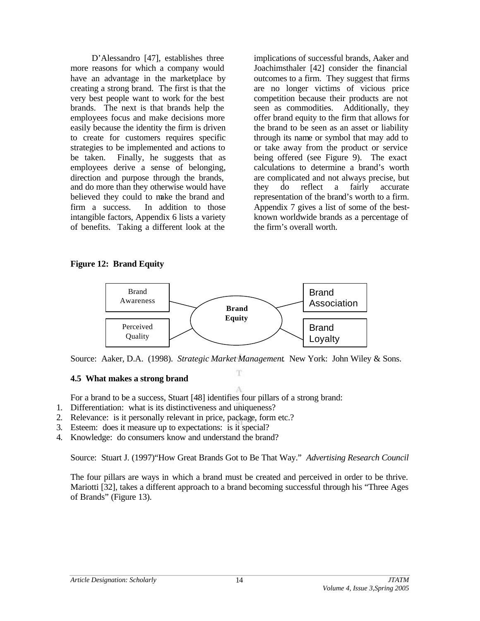D'Alessandro [47], establishes three more reasons for which a company would have an advantage in the marketplace by creating a strong brand. The first is that the very best people want to work for the best brands. The next is that brands help the employees focus and make decisions more easily because the identity the firm is driven to create for customers requires specific strategies to be implemented and actions to be taken. Finally, he suggests that as employees derive a sense of belonging, direction and purpose through the brands, and do more than they otherwise would have believed they could to make the brand and firm a success. In addition to those intangible factors, Appendix 6 lists a variety of benefits. Taking a different look at the

implications of successful brands, Aaker and Joachimsthaler [42] consider the financial outcomes to a firm. They suggest that firms are no longer victims of vicious price competition because their products are not seen as commodities. Additionally, they offer brand equity to the firm that allows for the brand to be seen as an asset or liability through its name or symbol that may add to or take away from the product or service being offered (see Figure 9). The exact calculations to determine a brand's worth are complicated and not always precise, but they do reflect a fairly accurate representation of the brand's worth to a firm. Appendix 7 gives a list of some of the bestknown worldwide brands as a percentage of the firm's overall worth.

#### **Figure 12: Brand Equity**



Source: Aaker, D.A. (1998). *Strategic Market Management*. New York: John Wiley & Sons. T

## **4.5 What makes a strong brand**

A For a brand to be a success, Stuart [48] identifies four pillars of a strong brand:

- 1. Differentiation: what is its distinctiveness and uniqueness?
- 2. Relevance: is it personally relevant in price, package, form etc.?
- 3. Esteem: does it measure up to expectations: is it special?
- 4. Knowledge: do consumers know and understand the brand?

Source: Stuart J. (1997)"How Great Brands Got to Be That Way." *Advertising Research Council* 

The four pillars are ways in which a brand must be created and perceived in order to be thrive. Mariotti [32], takes a different approach to a brand becoming successful through his "Three Ages of Brands" (Figure 13).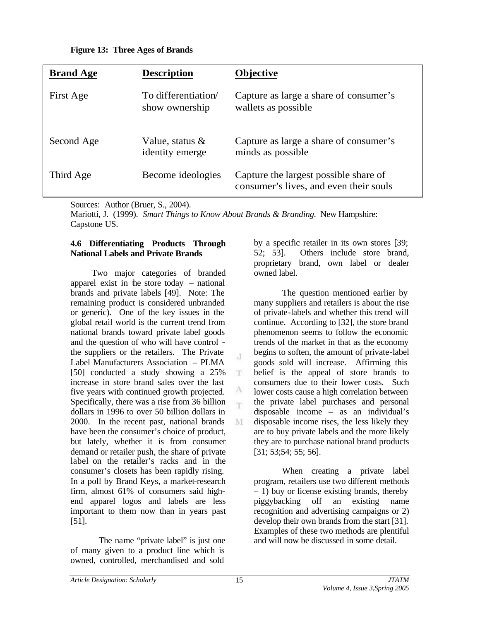|  |  | <b>Figure 13: Three Ages of Brands</b> |
|--|--|----------------------------------------|
|--|--|----------------------------------------|

| <b>Brand Age</b> | <b>Description</b>                    | <b>Objective</b>                                                                |
|------------------|---------------------------------------|---------------------------------------------------------------------------------|
| First Age        | To differentiation<br>show ownership  | Capture as large a share of consumer's<br>wallets as possible                   |
| Second Age       | Value, status $\&$<br>identity emerge | Capture as large a share of consumer's<br>minds as possible                     |
| Third Age        | Become ideologies                     | Capture the largest possible share of<br>consumer's lives, and even their souls |

Sources: Author (Bruer, S., 2004).

Mariotti, J. (1999). *Smart Things to Know About Brands & Branding.* New Hampshire: Capstone US.

 $\cdot$ T

m.

A 'n.

M

#### **4.6 Differentiating Products Through National Labels and Private Brands**

Two major categories of branded apparel exist in the store today – national brands and private labels [49]. Note: The remaining product is considered unbranded or generic). One of the key issues in the global retail world is the current trend from national brands toward private label goods and the question of who will have control the suppliers or the retailers. The Private Label Manufacturers Association – PLMA [50] conducted a study showing a 25% increase in store brand sales over the last five years with continued growth projected. Specifically, there was a rise from 36 billion dollars in 1996 to over 50 billion dollars in 2000. In the recent past, national brands have been the consumer's choice of product, but lately, whether it is from consumer demand or retailer push, the share of private label on the retailer's racks and in the consumer's closets has been rapidly rising. In a poll by Brand Keys, a market-research firm, almost 61% of consumers said highend apparel logos and labels are less important to them now than in years past [51].

The name "private label" is just one of many given to a product line which is owned, controlled, merchandised and sold

by a specific retailer in its own stores [39; 52; 53]. Others include store brand, proprietary brand, own label or dealer owned label.

The question mentioned earlier by many suppliers and retailers is about the rise of private-labels and whether this trend will continue. According to [32], the store brand phenomenon seems to follow the economic trends of the market in that as the economy begins to soften, the amount of private-label goods sold will increase. Affirming this belief is the appeal of store brands to consumers due to their lower costs. Such lower costs cause a high correlation between the private label purchases and personal disposable income – as an individual's disposable income rises, the less likely they are to buy private labels and the more likely they are to purchase national brand products [31; 53;54; 55; 56].

When creating a private label program, retailers use two different methods – 1) buy or license existing brands, thereby piggybacking off an existing name recognition and advertising campaigns or 2) develop their own brands from the start [31]. Examples of these two methods are plentiful and will now be discussed in some detail.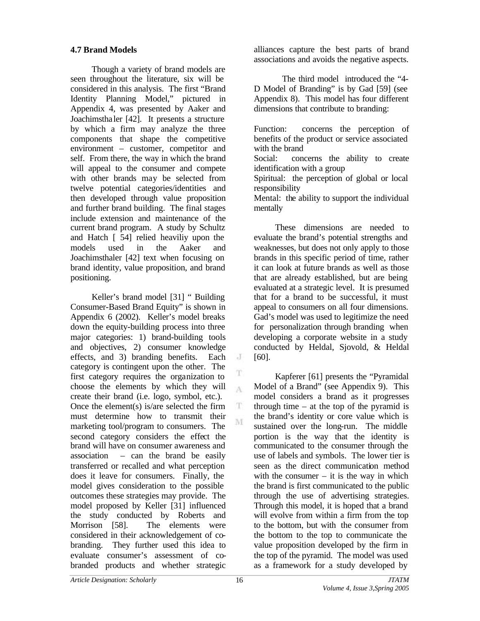## **4.7 Brand Models**

Though a variety of brand models are seen throughout the literature, six will be considered in this analysis. The first "Brand Identity Planning Model," pictured in Appendix 4, was presented by Aaker and Joachimstha ler [42]. It presents a structure by which a firm may analyze the three components that shape the competitive environment – customer, competitor and self. From there, the way in which the brand will appeal to the consumer and compete with other brands may be selected from twelve potential categories/identities and then developed through value proposition and further brand building. The final stages include extension and maintenance of the current brand program. A study by Schultz and Hatch [ 54] relied heaviliy upon the models used in the Aaker and Joachimsthaler [42] text when focusing on brand identity, value proposition, and brand positioning.

Keller's brand model [31] " Building Consumer-Based Brand Equity" is shown in Appendix 6 (2002). Keller's model breaks down the equity-building process into three major categories: 1) brand-building tools and objectives, 2) consumer knowledge effects, and 3) branding benefits. Each category is contingent upon the other. The first category requires the organization to choose the elements by which they will create their brand (i.e. logo, symbol, etc.). Once the element(s) is/are selected the firm must determine how to transmit their marketing tool/program to consumers. The second category considers the effect the brand will have on consumer awareness and association – can the brand be easily transferred or recalled and what perception does it leave for consumers. Finally, the model gives consideration to the possible outcomes these strategies may provide. The model proposed by Keller [31] influenced the study conducted by Roberts and Morrison [58]. The elements were considered in their acknowledgement of cobranding. They further used this idea to evaluate consumer's assessment of cobranded products and whether strategic

alliances capture the best parts of brand associations and avoids the negative aspects.

The third model introduced the "4- D Model of Branding" is by Gad [59] (see Appendix 8). This model has four different dimensions that contribute to branding:

Function: concerns the perception of benefits of the product or service associated with the brand

Social: concerns the ability to create identification with a group

Spiritual: the perception of global or local responsibility

Mental: the ability to support the individual mentally

These dimensions are needed to evaluate the brand's potential strengths and weaknesses, but does not only apply to those brands in this specific period of time, rather it can look at future brands as well as those that are already established, but are being evaluated at a strategic level. It is presumed that for a brand to be successful, it must appeal to consumers on all four dimensions. Gad's model was used to legitimize the need for personalization through branding when developing a corporate website in a study conducted by Heldal, Sjovold, & Heldal [60].

Kapferer [61] presents the "Pyramidal Model of a Brand" (see Appendix 9). This model considers a brand as it progresses through time – at the top of the pyramid is the brand's identity or core value which is sustained over the long-run. The middle portion is the way that the identity is communicated to the consumer through the use of labels and symbols. The lower tier is seen as the direct communication method with the consumer  $-$  it is the way in which the brand is first communicated to the public through the use of advertising strategies. Through this model, it is hoped that a brand will evolve from within a firm from the top to the bottom, but with the consumer from the bottom to the top to communicate the value proposition developed by the firm in the top of the pyramid. The model was used as a framework for a study developed by

 $\cdot$  J

T  $\Lambda$ 

T M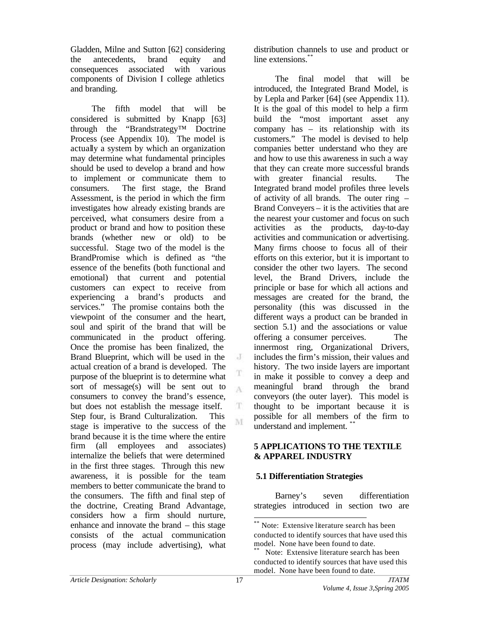Gladden, Milne and Sutton [62] considering the antecedents, brand equity and consequences associated with various components of Division I college athletics and branding.

The fifth model that will be considered is submitted by Knapp [63] through the "Brandstrategy™ Doctrine Process (see Appendix 10). The model is actually a system by which an organization may determine what fundamental principles should be used to develop a brand and how to implement or communicate them to consumers. The first stage, the Brand Assessment, is the period in which the firm investigates how already existing brands are perceived, what consumers desire from a product or brand and how to position these brands (whether new or old) to be successful. Stage two of the model is the BrandPromise which is defined as "the essence of the benefits (both functional and emotional) that current and potential customers can expect to receive from experiencing a brand's products and services." The promise contains both the viewpoint of the consumer and the heart, soul and spirit of the brand that will be communicated in the product offering. Once the promise has been finalized, the Brand Blueprint, which will be used in the actual creation of a brand is developed. The purpose of the blueprint is to determine what sort of message(s) will be sent out to consumers to convey the brand's essence, but does not establish the message itself. Step four, is Brand Culturalization. This stage is imperative to the success of the brand because it is the time where the entire firm (all employees and associates) internalize the beliefs that were determined in the first three stages. Through this new awareness, it is possible for the team members to better communicate the brand to the consumers. The fifth and final step of the doctrine, Creating Brand Advantage, considers how a firm should nurture, enhance and innovate the brand – this stage consists of the actual communication process (may include advertising), what

distribution channels to use and product or line extensions.\*\*

The final model that will be introduced, the Integrated Brand Model, is by Lepla and Parker [64] (see Appendix 11). It is the goal of this model to help a firm build the "most important asset any company has – its relationship with its customers." The model is devised to help companies better understand who they are and how to use this awareness in such a way that they can create more successful brands with greater financial results. The Integrated brand model profiles three levels of activity of all brands. The outer ring – Brand Conveyers – it is the activities that are the nearest your customer and focus on such activities as the products, day-to-day activities and communication or advertising. Many firms choose to focus all of their efforts on this exterior, but it is important to consider the other two layers. The second level, the Brand Drivers, include the principle or base for which all actions and messages are created for the brand, the personality (this was discussed in the different ways a product can be branded in section 5.1) and the associations or value offering a consumer perceives. The innermost ring, Organizational Drivers, includes the firm's mission, their values and history. The two inside layers are important in make it possible to convey a deep and meaningful brand through the brand conveyors (the outer layer). This model is thought to be important because it is possible for all members of the firm to understand and implement. \*\*

#### **5 APPLICATIONS TO THE TEXTILE & APPAREL INDUSTRY**

# **5.1 Differentiation Strategies**

Barney's seven differentiation strategies introduced in section two are

J

T  $\Lambda$ 

T. M

l

Note: Extensive literature search has been conducted to identify sources that have used this model. None have been found to date.

Note: Extensive literature search has been conducted to identify sources that have used this model. None have been found to date.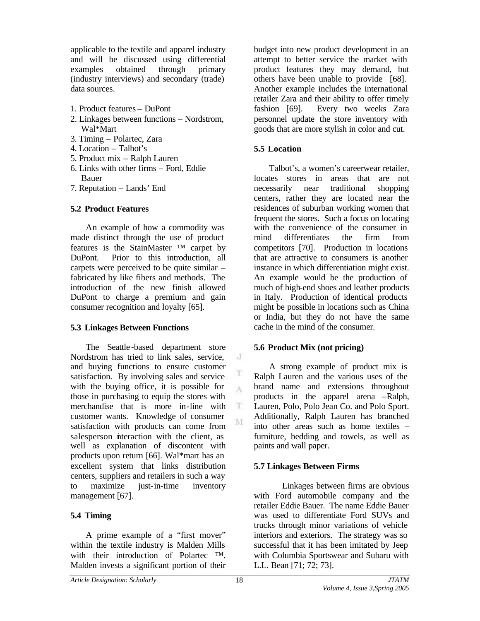applicable to the textile and apparel industry and will be discussed using differential examples obtained through primary (industry interviews) and secondary (trade) data sources.

- 1. Product features DuPont
- 2. Linkages between functions Nordstrom, Wal\*Mart
- 3. Timing Polartec, Zara
- 4. Location Talbot's
- 5. Product mix Ralph Lauren
- 6. Links with other firms Ford, Eddie Bauer
- 7. Reputation Lands' End

## **5.2 Product Features**

An example of how a commodity was made distinct through the use of product features is the StainMaster ™ carpet by DuPont. Prior to this introduction, all carpets were perceived to be quite similar – fabricated by like fibers and methods. The introduction of the new finish allowed DuPont to charge a premium and gain consumer recognition and loyalty [65].

## **5.3 Linkages Between Functions**

The Seattle -based department store Nordstrom has tried to link sales, service, and buying functions to ensure customer satisfaction. By involving sales and service with the buying office, it is possible for those in purchasing to equip the stores with merchandise that is more in-line with customer wants. Knowledge of consumer satisfaction with products can come from salesperson interaction with the client, as well as explanation of discontent with products upon return [66]. Wal\*mart has an excellent system that links distribution centers, suppliers and retailers in such a way to maximize just-in-time inventory management [67].

## **5.4 Timing**

A prime example of a "first mover" within the textile industry is Malden Mills with their introduction of Polartec ™. Malden invests a significant portion of their budget into new product development in an attempt to better service the market with product features they may demand, but others have been unable to provide [68]. Another example includes the international retailer Zara and their ability to offer timely fashion [69]. Every two weeks Zara personnel update the store inventory with goods that are more stylish in color and cut.

## **5.5 Location**

Talbot's, a women's careerwear retailer, locates stores in areas that are not necessarily near traditional shopping centers, rather they are located near the residences of suburban working women that frequent the stores. Such a focus on locating with the convenience of the consumer in mind differentiates the firm from competitors [70]. Production in locations that are attractive to consumers is another instance in which differentiation might exist. An example would be the production of much of high-end shoes and leather products in Italy. Production of identical products might be possible in locations such as China or India, but they do not have the same cache in the mind of the consumer.

## **5.6 Product Mix (not pricing)**

A strong example of product mix is Ralph Lauren and the various uses of the brand name and extensions throughout products in the apparel arena –Ralph, Lauren, Polo, Polo Jean Co. and Polo Sport. Additionally, Ralph Lauren has branched into other areas such as home textiles – furniture, bedding and towels, as well as paints and wall paper.

## **5.7 Linkages Between Firms**

Linkages between firms are obvious with Ford automobile company and the retailer Eddie Bauer. The name Eddie Bauer was used to differentiate Ford SUVs and trucks through minor variations of vehicle interiors and exteriors. The strategy was so successful that it has been imitated by Jeep with Columbia Sportswear and Subaru with L.L. Bean [71; 72; 73].

 $\rm J$ 

T A

 $\mathbf T$ M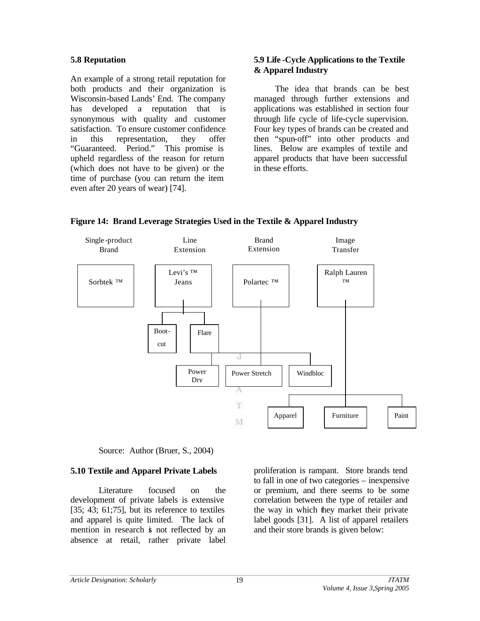## **5.8 Reputation**

An example of a strong retail reputation for both products and their organization is Wisconsin-based Lands' End. The company has developed a reputation that is synonymous with quality and customer satisfaction. To ensure customer confidence in this representation, they offer "Guaranteed. Period." This promise is upheld regardless of the reason for return (which does not have to be given) or the time of purchase (you can return the item even after 20 years of wear) [74].

## **5.9 Life -Cycle Applications to the Textile & Apparel Industry**

The idea that brands can be best managed through further extensions and applications was established in section four through life cycle of life-cycle supervision. Four key types of brands can be created and then "spun-off" into other products and lines. Below are examples of textile and apparel products that have been successful in these efforts.



**Figure 14: Brand Leverage Strategies Used in the Textile & Apparel Industry**

Source: Author (Bruer, S., 2004)

## **5.10 Textile and Apparel Private Labels**

Literature focused on the development of private labels is extensive  $[35; 43; 61; 75]$ , but its reference to textiles and apparel is quite limited. The lack of mention in research is not reflected by an absence at retail, rather private label

proliferation is rampant. Store brands tend to fall in one of two categories – inexpensive or premium, and there seems to be some correlation between the type of retailer and the way in which they market their private label goods [31]. A list of apparel retailers and their store brands is given below: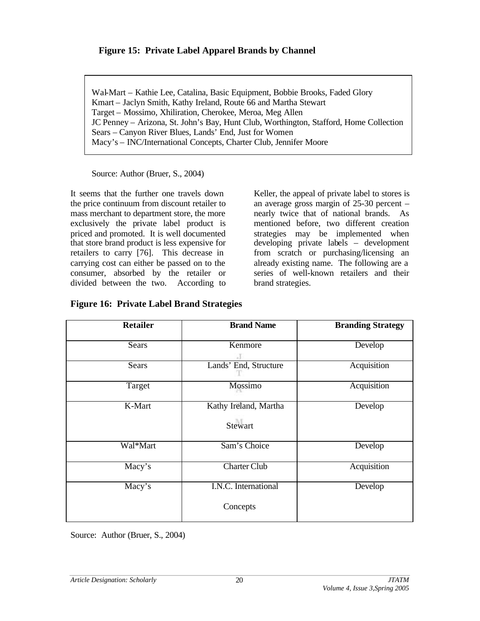# **Figure 15: Private Label Apparel Brands by Channel**

Wal-Mart – Kathie Lee, Catalina, Basic Equipment, Bobbie Brooks, Faded Glory Kmart – Jaclyn Smith, Kathy Ireland, Route 66 and Martha Stewart Target – Mossimo, Xhiliration, Cherokee, Meroa, Meg Allen JC Penney – Arizona, St. John's Bay, Hunt Club, Worthington, Stafford, Home Collection Sears – Canyon River Blues, Lands' End, Just for Women Macy's – INC/International Concepts, Charter Club, Jennifer Moore

Source: Author (Bruer, S., 2004)

It seems that the further one travels down the price continuum from discount retailer to mass merchant to department store, the more exclusively the private label product is priced and promoted. It is well documented that store brand product is less expensive for retailers to carry [76]. This decrease in carrying cost can either be passed on to the consumer, absorbed by the retailer or divided between the two. According to

Keller, the appeal of private label to stores is an average gross margin of 25-30 percent – nearly twice that of national brands. As mentioned before, two different creation strategies may be implemented when developing private labels – development from scratch or purchasing/licensing an already existing name. The following are a series of well-known retailers and their brand strategies.

| <b>Retailer</b> | <b>Brand Name</b>                | <b>Branding Strategy</b> |
|-----------------|----------------------------------|--------------------------|
| Sears           | Kenmore                          | Develop                  |
| Sears           | Lands' End, Structure            | Acquisition              |
| Target          | <b>Mossimo</b>                   | Acquisition              |
| K-Mart          | Kathy Ireland, Martha<br>Stewart | Develop                  |
| Wal*Mart        | Sam's Choice                     | Develop                  |
| Macy's          | <b>Charter Club</b>              | Acquisition              |
| Macy's          | I.N.C. International<br>Concepts | Develop                  |
|                 |                                  |                          |

**Figure 16: Private Label Brand Strategies**

Source: Author (Bruer, S., 2004)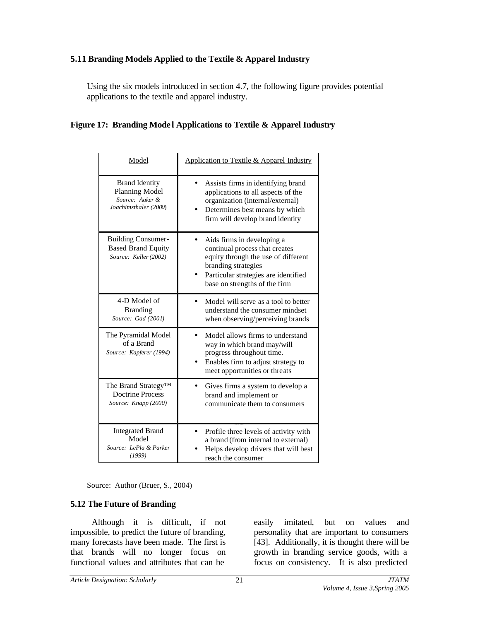# **5.11 Branding Models Applied to the Textile & Apparel Industry**

Using the six models introduced in section 4.7, the following figure provides potential applications to the textile and apparel industry.

## **Figure 17: Branding Mode l Applications to Textile & Apparel Industry**

| Model                                                                               | Application to Textile & Apparel Industry                                                                                                                                                           |
|-------------------------------------------------------------------------------------|-----------------------------------------------------------------------------------------------------------------------------------------------------------------------------------------------------|
| <b>Brand Identity</b><br>Planning Model<br>Source: Aaker &<br>Joachimsthaler (2000) | Assists firms in identifying brand<br>applications to all aspects of the<br>organization (internal/external)<br>Determines best means by which<br>firm will develop brand identity                  |
| <b>Building Consumer-</b><br><b>Based Brand Equity</b><br>Source: Keller (2002)     | Aids firms in developing a<br>continual process that creates<br>equity through the use of different<br>branding strategies<br>Particular strategies are identified<br>base on strengths of the firm |
| 4-D Model of<br><b>Branding</b><br>Source: Gad (2001)                               | Model will serve as a tool to better<br>understand the consumer mindset<br>when observing/perceiving brands                                                                                         |
| The Pyramidal Model<br>of a Brand<br>Source: Kapferer (1994)                        | Model allows firms to understand<br>way in which brand may/will<br>progress throughout time.<br>Enables firm to adjust strategy to<br>meet opportunities or threats                                 |
| The Brand Strategy <sup>TM</sup><br><b>Doctrine Process</b><br>Source: Knapp (2000) | Gives firms a system to develop a<br>brand and implement or<br>communicate them to consumers                                                                                                        |
| <b>Integrated Brand</b><br>Model<br>Source: LePla & Parker<br>(1999)                | Profile three levels of activity with<br>a brand (from internal to external)<br>Helps develop drivers that will best<br>reach the consumer                                                          |

Source: Author (Bruer, S., 2004)

#### **5.12 The Future of Branding**

Although it is difficult, if not impossible, to predict the future of branding, many forecasts have been made. The first is that brands will no longer focus on functional values and attributes that can be

easily imitated, but on values and personality that are important to consumers [43]. Additionally, it is thought there will be growth in branding service goods, with a focus on consistency. It is also predicted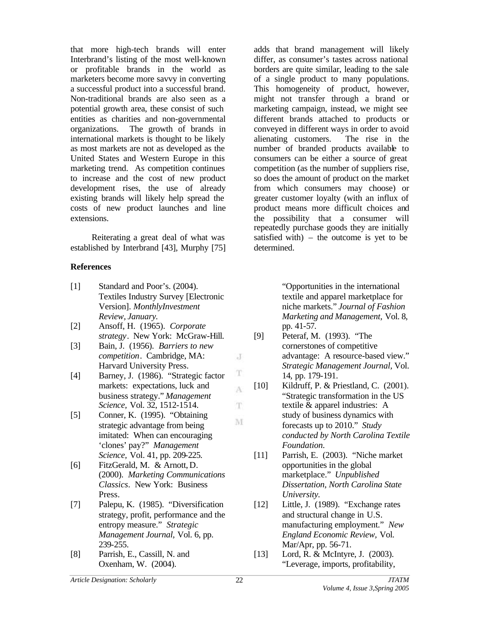that more high-tech brands will enter Interbrand's listing of the most well-known or profitable brands in the world as marketers become more savvy in converting a successful product into a successful brand. Non-traditional brands are also seen as a potential growth area, these consist of such entities as charities and non-governmental organizations. The growth of brands in international markets is thought to be likely as most markets are not as developed as the United States and Western Europe in this marketing trend. As competition continues to increase and the cost of new product development rises, the use of already existing brands will likely help spread the costs of new product launches and line extensions.

Reiterating a great deal of what was established by Interbrand [43], Murphy [75]

#### **References**

- [1] Standard and Poor's. (2004). Textiles Industry Survey [Electronic Version]. *MonthlyInvestment Review, January.*
- [2] Ansoff, H. (1965). *Corporate strategy*. New York: McGraw-Hill.
- [3] Bain, J. (1956). *Barriers to new competition*. Cambridge, MA: Harvard University Press.
- [4] Barney, J. (1986). "Strategic factor markets: expectations, luck and business strategy." *Management Science,* Vol. 32, 1512-1514.
- [5] Conner, K. (1995). "Obtaining strategic advantage from being imitated: When can encouraging 'clones' pay?" *Management Science,* Vol. 41, pp. 209-225.
- [6] FitzGerald, M. & Arnott, D. (2000). *Marketing Communications Classics*. New York: Business Press.
- [7] Palepu, K. (1985). "Diversification strategy, profit, performance and the entropy measure." *Strategic Management Journal,* Vol. 6, pp. 239-255.
- [8] Parrish, E., Cassill, N. and Oxenham, W. (2004).

adds that brand management will likely differ, as consumer's tastes across national borders are quite similar, leading to the sale of a single product to many populations. This homogeneity of product, however, might not transfer through a brand or marketing campaign, instead, we might see different brands attached to products or conveyed in different ways in order to avoid alienating customers. The rise in the number of branded products available to consumers can be either a source of great competition (as the number of suppliers rise, so does the amount of product on the market from which consumers may choose) or greater customer loyalty (with an influx of product means more difficult choices and the possibility that a consumer will repeatedly purchase goods they are initially satisfied with) – the outcome is yet to be determined.

> "Opportunities in the international textile and apparel marketplace for niche markets." *Journal of Fashion Marketing and Management,* Vol. 8, pp. 41-57.

- [9] Peteraf, M. (1993). "The cornerstones of competitive advantage: A resource-based view." *Strategic Management Journal,* Vol. 14*,* pp. 179-191.
- [10] Kildruff, P. & Priestland, C. (2001). "Strategic transformation in the US textile & apparel industries: A study of business dynamics with forecasts up to 2010." *Study conducted by North Carolina Textile Foundation.*
- [11] Parrish, E. (2003). "Niche market opportunities in the global marketplace." *Unpublished Dissertation, North Carolina State University.*
- [12] Little, J. (1989). "Exchange rates and structural change in U.S. manufacturing employment." *New England Economic Review,* Vol. Mar/Apr, pp. 56-71.
- [13] Lord, R. & McIntyre, J. (2003). "Leverage, imports, profitability,

J

T A

T.

M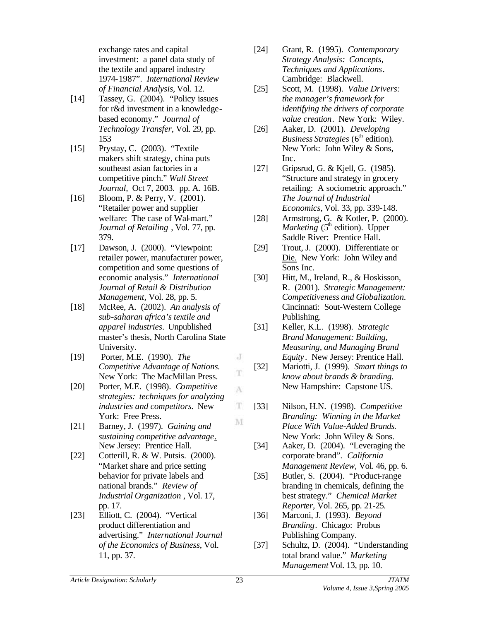exchange rates and capital investment: a panel data study of the textile and apparel industry 1974-1987". *International Review of Financial Analysis,* Vol. 12.

- [14] Tassey, G. (2004). "Policy issues for r&d investment in a knowledgebased economy." *Journal of Technology Transfer*, Vol. 29, pp. 153
- [15] Prystay, C. (2003). "Textile makers shift strategy, china puts southeast asian factories in a competitive pinch." *Wall Street Journal,* Oct 7, 2003. pp. A. 16B.
- [16] Bloom, P. & Perry, V. (2001). "Retailer power and supplier welfare: The case of Wal-mart." *Journal of Retailing* , Vol. 77, pp. 379.
- [17] Dawson, J. (2000). "Viewpoint: retailer power, manufacturer power, competition and some questions of economic analysis." *International Journal of Retail & Distribution Management,* Vol. 28, pp. 5.
- [18] McRee, A. (2002). *An analysis of sub-saharan africa's textile and apparel industries*. Unpublished master's thesis, North Carolina State University.
- [19] Porter, M.E. (1990). *The Competitive Advantage of Nations.*  New York: The MacMillan Press.
- [20] Porter, M.E. (1998). *Competitive strategies: techniques for analyzing industries and competitors.* New York: Free Press.
- [21] Barney, J. (1997). *Gaining and sustaining competitive advantage*. New Jersey: Prentice Hall.
- [22] Cotterill, R. & W. Putsis. (2000). "Market share and price setting behavior for private labels and national brands." *Review of Industrial Organization* , Vol. 17, pp. 17.
- [23] Elliott, C. (2004). "Vertical product differentiation and advertising." *International Journal of the Economics of Business*, Vol. 11, pp. 37.
- [24] Grant, R. (1995). *Contemporary Strategy Analysis: Concepts, Techniques and Applications*. Cambridge: Blackwell.
- [25] Scott, M. (1998). *Value Drivers: the manager's framework for identifying the drivers of corporate value creation*. New York: Wiley.
- [26] Aaker, D. (2001). *Developing Business Strategies* (6<sup>th</sup> edition). New York: John Wiley & Sons, Inc.
- [27] Gripsrud, G. & Kjell, G. (1985). "Structure and strategy in grocery retailing: A sociometric approach." *The Journal of Industrial Economics,* Vol. 33, pp. 339-148.
- [28] Armstrong, G. & Kotler, P. (2000). *Marketing*  $(5<sup>th</sup>$  edition). Upper Saddle River: Prentice Hall.
- [29] Trout, J. (2000). Differentiate or Die. New York: John Wiley and Sons Inc.
- [30] Hitt, M., Ireland, R., & Hoskisson, R. (2001). *Strategic Management: Competitiveness and Globalization.*  Cincinnati: Sout-Western College Publishing.
- [31] Keller, K.L. (1998). *Strategic Brand Management: Building, Measuring, and Managing Brand Equity*. New Jersey: Prentice Hall.
- [32] Mariotti, J. (1999). *Smart things to know about brands & branding.* New Hampshire: Capstone US.
- [33] Nilson, H.N. (1998). *Competitive Branding: Winning in the Market Place With Value-Added Brands.*  New York: John Wiley & Sons.
- [34] Aaker, D. (2004). "Leveraging the corporate brand". *California Management Review,* Vol. 46, pp. 6.
- [35] Butler, S. (2004). "Product-range branding in chemicals, defining the best strategy." *Chemical Market Reporter,* Vol. 265, pp. 21-25.
- [36] Marconi, J. (1993). *Beyond Branding*. Chicago: Probus Publishing Company.
- [37] Schultz, D. (2004). "Understanding total brand value." *Marketing Management* Vol. 13, pp. 10.

J T

A

T M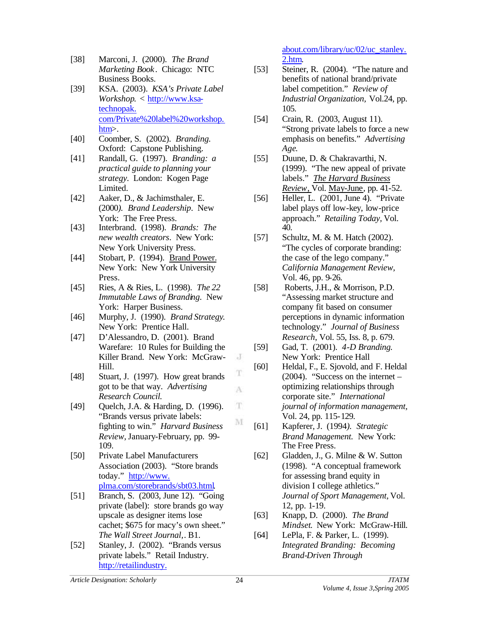- [38] Marconi, J. (2000). *The Brand Marketing Book*. Chicago: NTC Business Books.
- [39] KSA. (2003). *KSA's Private Label Workshop*. < http://www.ksatechnopak. com/Private%20label%20workshop. htm>.
- [40] Coomber, S. (2002). *Branding.*  Oxford: Capstone Publishing.
- [41] Randall, G. (1997). *Branding: a practical guide to planning your strategy.* London: Kogen Page Limited.
- [42] Aaker, D., & Jachimsthaler, E. (2000*). Brand Leadership*. New York: The Free Press.
- [43] Interbrand. (1998). *Brands: The new wealth creators*. New York: New York University Press.
- [44] Stobart, P. (1994). Brand Power. New York: New York University Press.
- [45] Ries, A & Ries, L. (1998). *The 22 Immutable Laws of Branding.* New York: Harper Business.
- [46] Murphy, J. (1990). *Brand Strategy*. New York: Prentice Hall.
- [47] D'Alessandro, D. (2001). Brand Warefare: 10 Rules for Building the Killer Brand. New York: McGraw-Hill.
- [48] Stuart, J. (1997). How great brands got to be that way. *Advertising Research Council.*
- [49] Quelch, J.A. & Harding, D. (1996). "Brands versus private labels: fighting to win." *Harvard Business Review,* January-February*,* pp. 99- 109.
- [50] Private Label Manufacturers Association (2003). "Store brands today." http://www. plma.com/storebrands/sbt03.html.
- [51] Branch, S. (2003, June 12). "Going private (label): store brands go way upscale as designer items lose cachet; \$675 for macy's own sheet." *The Wall Street Journal,*. B1.
- [52] Stanley, J. (2002). "Brands versus private labels." Retail Industry. http://retailindustry.

about.com/library/uc/02/uc\_stanley. 2.htm.

- [53] Steiner, R. (2004). "The nature and benefits of national brand/private label competition." *Review of Industrial Organization,* Vol.24, pp. 105.
- [54] Crain, R. (2003, August 11). "Strong private labels to force a new emphasis on benefits." *Advertising Age*.
- [55] Duune, D. & Chakravarthi, N. (1999). "The new appeal of private labels." *The Harvard Business Review*, Vol. May-June, pp. 41-52.
- [56] Heller, L. (2001, June 4). "Private label plays off low-key, low-price approach." *Retailing Today,* Vol. 40.
- [57] Schultz, M. & M. Hatch (2002). "The cycles of corporate branding: the case of the lego company." *California Management Review,*  Vol. 46, pp. 9-26.
- [58] Roberts, J.H., & Morrison, P.D. "Assessing market structure and company fit based on consumer perceptions in dynamic information technology." *Journal of Business Research*, Vol. 55, Iss. 8, p. 679.
- [59] Gad, T. (2001). *4-D Branding.*  New York: Prentice Hall
- [60] Heldal, F., E. Sjovold, and F. Heldal (2004). "Success on the internet – optimizing relationships through corporate site." *International journal of information management,*  Vol. 24, pp. 115-129.
- [61] Kapferer, J. (1994*). Strategic Brand Management.* New York: The Free Press.
- [62] Gladden, J., G. Milne & W. Sutton (1998). "A conceptual framework for assessing brand equity in division I college athletics." *Journal of Sport Management,* Vol. 12, pp. 1-19.
- [63] Knapp, D. (2000). *The Brand Mindset*. New York: McGraw-Hill.
- [64] LePla, F. & Parker, L. (1999). *Integrated Branding: Becoming Brand-Driven Through*

J

T

A

 $\mathbf T$ 

M